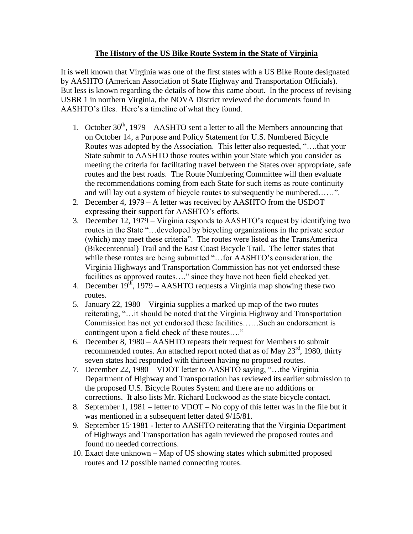## **The History of the US Bike Route System in the State of Virginia**

It is well known that Virginia was one of the first states with a US Bike Route designated by AASHTO (American Association of State Highway and Transportation Officials). But less is known regarding the details of how this came about. In the process of revising USBR 1 in northern Virginia, the NOVA District reviewed the documents found in AASHTO's files. Here's a timeline of what they found.

- 1. October  $30<sup>th</sup>$ , 1979 AASHTO sent a letter to all the Members announcing that on October 14, a Purpose and Policy Statement for U.S. Numbered Bicycle Routes was adopted by the Association. This letter also requested, "….that your State submit to AASHTO those routes within your State which you consider as meeting the criteria for facilitating travel between the States over appropriate, safe routes and the best roads. The Route Numbering Committee will then evaluate the recommendations coming from each State for such items as route continuity and will lay out a system of bicycle routes to subsequently be numbered……".
- 2. December 4, 1979 A letter was received by AASHTO from the USDOT expressing their support for AASHTO's efforts.
- 3. December 12, 1979 Virginia responds to AASHTO's request by identifying two routes in the State "…developed by bicycling organizations in the private sector (which) may meet these criteria". The routes were listed as the TransAmerica (Bikecentennial) Trail and the East Coast Bicycle Trail. The letter states that while these routes are being submitted "...for AASHTO's consideration, the Virginia Highways and Transportation Commission has not yet endorsed these facilities as approved routes…." since they have not been field checked yet.
- 4. December  $19<sup>th</sup>$ , 1979 AASHTO requests a Virginia map showing these two routes.
- 5. January 22, 1980 Virginia supplies a marked up map of the two routes reiterating, "…it should be noted that the Virginia Highway and Transportation Commission has not yet endorsed these facilities……Such an endorsement is contingent upon a field check of these routes…."
- 6. December 8, 1980 AASHTO repeats their request for Members to submit recommended routes. An attached report noted that as of May 23<sup>rd</sup>, 1980, thirty seven states had responded with thirteen having no proposed routes.
- 7. December 22, 1980 VDOT letter to AASHTO saying, "…the Virginia Department of Highway and Transportation has reviewed its earlier submission to the proposed U.S. Bicycle Routes System and there are no additions or corrections. It also lists Mr. Richard Lockwood as the state bicycle contact.
- 8. September 1, 1981 letter to VDOT No copy of this letter was in the file but it was mentioned in a subsequent letter dated 9/15/81.
- 9. September 15' 1981 letter to AASHTO reiterating that the Virginia Department of Highways and Transportation has again reviewed the proposed routes and found no needed corrections.
- 10. Exact date unknown Map of US showing states which submitted proposed routes and 12 possible named connecting routes.